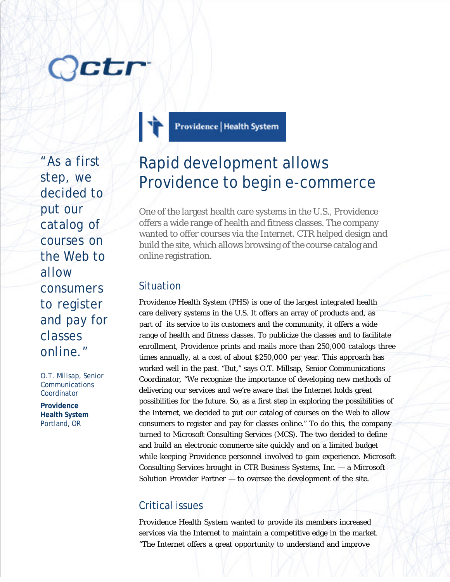# Retr

"As a first step, we decided to put our catalog of courses on the Web to allow consumers to register and pay for classes online."

O.T. Millsap, Senior Communications Coordinator

**Providence Health System** Portland, OR

**Providence | Health System** 

# Rapid development allows Providence to begin e-commerce

One of the largest health care systems in the U.S., Providence offers a wide range of health and fitness classes. The company wanted to offer courses via the Internet. CTR helped design and build the site, which allows browsing of the course catalog and online registration.

## Situation

Providence Health System (PHS) is one of the largest integrated health care delivery systems in the U.S. It offers an array of products and, as part of its service to its customers and the community, it offers a wide range of health and fitness classes. To publicize the classes and to facilitate enrollment, Providence prints and mails more than 250,000 catalogs three times annually, at a cost of about \$250,000 per year. This approach has worked well in the past. "But," says O.T. Millsap, Senior Communications Coordinator, "We recognize the importance of developing new methods of delivering our services and we're aware that the Internet holds great possibilities for the future. So, as a first step in exploring the possibilities of the Internet, we decided to put our catalog of courses on the Web to allow consumers to register and pay for classes online." To do this, the company turned to Microsoft Consulting Services (MCS). The two decided to define and build an electronic commerce site quickly and on a limited budget while keeping Providence personnel involved to gain experience. Microsoft Consulting Services brought in CTR Business Systems, Inc. — a Microsoft Solution Provider Partner — to oversee the development of the site.

# Critical issues

Providence Health System wanted to provide its members increased services via the Internet to maintain a competitive edge in the market. "The Internet offers a great opportunity to understand and improve